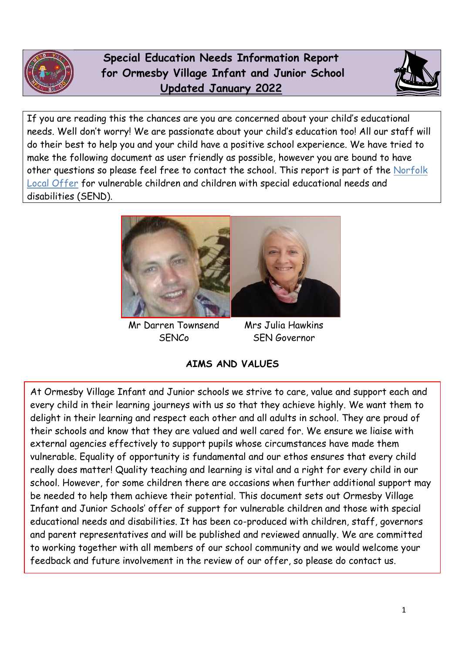

 **Special Education Needs Information Report for Ormesby Village Infant and Junior School Updated January 2022**



If you are reading this the chances are you are concerned about your child's educational needs. Well don't worry! We are passionate about your child's education too! All our staff will do their best to help you and your child have a positive school experience. We have tried to make the following document as user friendly as possible, however you are bound to have other questions so please feel free to contact the school. This report is part of the [Norfolk](http://www.norfolk.gov.uk/Childrens_services/Special_educational_needs_and_disabilities/index.htm)  [Local Offer](http://www.norfolk.gov.uk/Childrens_services/Special_educational_needs_and_disabilities/index.htm) for vulnerable children and children with special educational needs and disabilities (SEND).



Mr Darren Townsend Mrs Julia Hawkins

SENCo SEN Governor

**AIMS AND VALUES**

At Ormesby Village Infant and Junior schools we strive to care, value and support each and every child in their learning journeys with us so that they achieve highly. We want them to delight in their learning and respect each other and all adults in school. They are proud of their schools and know that they are valued and well cared for. We ensure we liaise with external agencies effectively to support pupils whose circumstances have made them vulnerable. Equality of opportunity is fundamental and our ethos ensures that every child really does matter! Quality teaching and learning is vital and a right for every child in our school. However, for some children there are occasions when further additional support may be needed to help them achieve their potential. This document sets out Ormesby Village Infant and Junior Schools' offer of support for vulnerable children and those with special educational needs and disabilities. It has been co-produced with children, staff, governors and parent representatives and will be published and reviewed annually. We are committed to working together with all members of our school community and we would welcome your feedback and future involvement in the review of our offer, so please do contact us.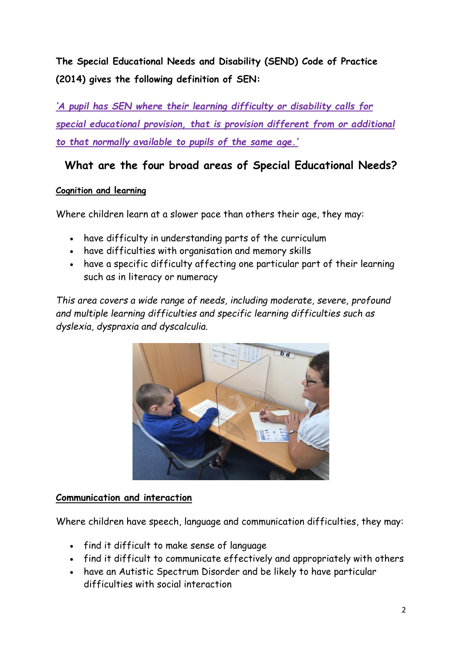**The Special Educational Needs and Disability (SEND) Code of Practice (2014) gives the following definition of SEN:**

*'A pupil has SEN where their learning difficulty or disability calls for special educational provision, that is provision different from or additional to that normally available to pupils of the same age.'* 

### **What are the four broad areas of Special Educational Needs?**

#### **Cognition and learning**

Where children learn at a slower pace than others their age, they may:

- have difficulty in understanding parts of the curriculum
- have difficulties with organisation and memory skills
- have a specific difficulty affecting one particular part of their learning such as in literacy or numeracy

*This area covers a wide range of needs, including moderate, severe, profound and multiple learning difficulties and specific learning difficulties such as dyslexia, dyspraxia and dyscalculia.*



#### **Communication and interaction**

Where children have speech, language and communication difficulties, they may:

- find it difficult to make sense of language
- find it difficult to communicate effectively and appropriately with others
- have an Autistic Spectrum Disorder and be likely to have particular difficulties with social interaction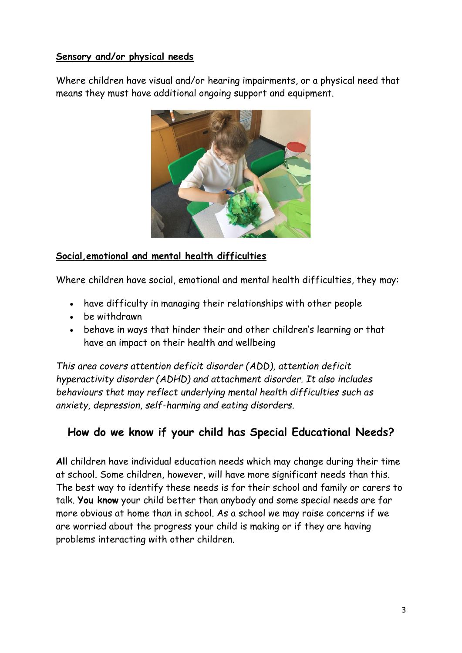#### **Sensory and/or physical needs**

Where children have visual and/or hearing impairments, or a physical need that means they must have additional ongoing support and equipment.



#### **Social,emotional and mental health difficulties**

Where children have social, emotional and mental health difficulties, they may:

- have difficulty in managing their relationships with other people
- be withdrawn
- behave in ways that hinder their and other children's learning or that have an impact on their health and wellbeing

*This area covers attention deficit disorder (ADD), attention deficit hyperactivity disorder (ADHD) and attachment disorder. It also includes behaviours that may reflect underlying mental health difficulties such as anxiety, depression, self*-*harming and eating disorders.*

### **How do we know if your child has Special Educational Needs?**

**All** children have individual education needs which may change during their time at school. Some children, however, will have more significant needs than this. The best way to identify these needs is for their school and family or carers to talk. **You know** your child better than anybody and some special needs are far more obvious at home than in school. As a school we may raise concerns if we are worried about the progress your child is making or if they are having problems interacting with other children.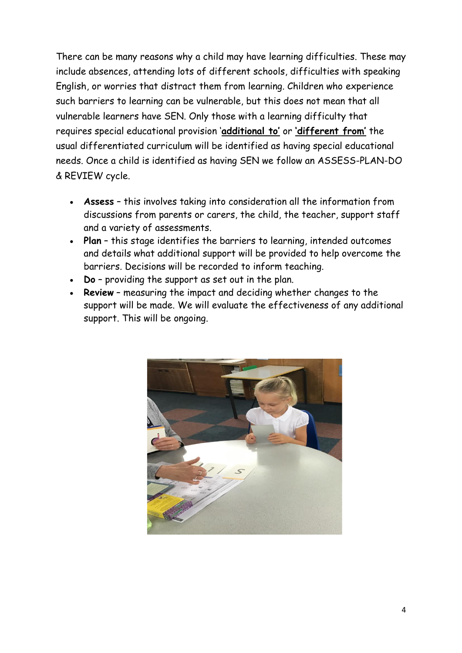There can be many reasons why a child may have learning difficulties. These may include absences, attending lots of different schools, difficulties with speaking English, or worries that distract them from learning. Children who experience such barriers to learning can be vulnerable, but this does not mean that all vulnerable learners have SEN. Only those with a learning difficulty that requires special educational provision '**additional to'** or **'different from'** the usual differentiated curriculum will be identified as having special educational needs. Once a child is identified as having SEN we follow an ASSESS-PLAN-DO & REVIEW cycle.

- **Assess** this involves taking into consideration all the information from discussions from parents or carers, the child, the teacher, support staff and a variety of assessments.
- **Plan** this stage identifies the barriers to learning, intended outcomes and details what additional support will be provided to help overcome the barriers. Decisions will be recorded to inform teaching.
- **Do** providing the support as set out in the plan.
- **Review** measuring the impact and deciding whether changes to the support will be made. We will evaluate the effectiveness of any additional support. This will be ongoing.

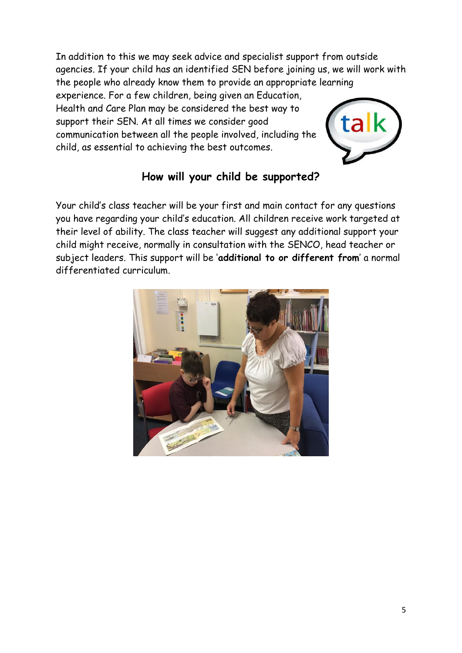In addition to this we may seek advice and specialist support from outside agencies. If your child has an identified SEN before joining us, we will work with the people who already know them to provide an appropriate learning

experience. For a few children, being given an Education, Health and Care Plan may be considered the best way to support their SEN. At all times we consider good communication between all the people involved, including the child, as essential to achieving the best outcomes.



### **How will your child be supported?**

Your child's class teacher will be your first and main contact for any questions you have regarding your child's education. All children receive work targeted at their level of ability. The class teacher will suggest any additional support your child might receive, normally in consultation with the SENCO, head teacher or subject leaders. This support will be '**additional to or different from**' a normal differentiated curriculum.

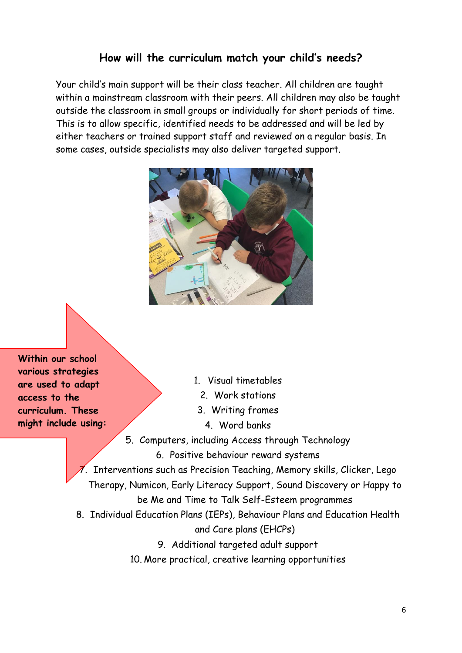#### **How will the curriculum match your child's needs?**

Your child's main support will be their class teacher. All children are taught within a mainstream classroom with their peers. All children may also be taught outside the classroom in small groups or individually for short periods of time. This is to allow specific, identified needs to be addressed and will be led by either teachers or trained support staff and reviewed on a regular basis. In some cases, outside specialists may also deliver targeted support.



**Within our school various strategies are used to adapt access to the curriculum. These might include using:**

1. Visual timetables

- 2. Work stations
- 3. Writing frames
	- 4. Word banks
- 5. Computers, including Access through Technology
	- 6. Positive behaviour reward systems

 $\bar{z}$ . Interventions such as Precision Teaching, Memory skills, Clicker, Lego Therapy, Numicon, Early Literacy Support, Sound Discovery or Happy to be Me and Time to Talk Self-Esteem programmes

8. Individual Education Plans (IEPs), Behaviour Plans and Education Health

and Care plans (EHCPs)

- 9. Additional targeted adult support
- 10. More practical, creative learning opportunities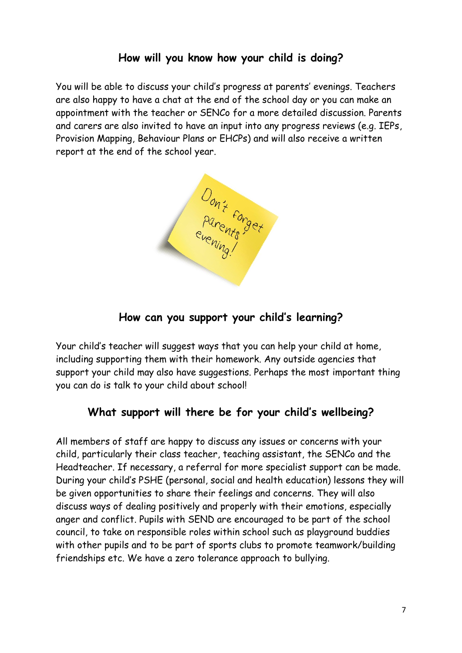#### **How will you know how your child is doing?**

You will be able to discuss your child's progress at parents' evenings. Teachers are also happy to have a chat at the end of the school day or you can make an appointment with the teacher or SENCo for a more detailed discussion. Parents and carers are also invited to have an input into any progress reviews (e.g. IEPs, Provision Mapping, Behaviour Plans or EHCPs) and will also receive a written report at the end of the school year.



#### **How can you support your child's learning?**

Your child's teacher will suggest ways that you can help your child at home, including supporting them with their homework. Any outside agencies that support your child may also have suggestions. Perhaps the most important thing you can do is talk to your child about school!

#### **What support will there be for your child's wellbeing?**

All members of staff are happy to discuss any issues or concerns with your child, particularly their class teacher, teaching assistant, the SENCo and the Headteacher. If necessary, a referral for more specialist support can be made. During your child's PSHE (personal, social and health education) lessons they will be given opportunities to share their feelings and concerns. They will also discuss ways of dealing positively and properly with their emotions, especially anger and conflict. Pupils with SEND are encouraged to be part of the school council, to take on responsible roles within school such as playground buddies with other pupils and to be part of sports clubs to promote teamwork/building friendships etc. We have a zero tolerance approach to bullying.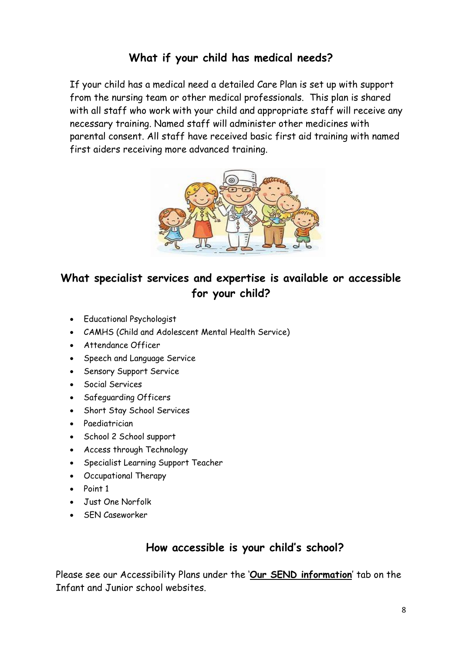### **What if your child has medical needs?**

If your child has a medical need a detailed Care Plan is set up with support from the nursing team or other medical professionals. This plan is shared with all staff who work with your child and appropriate staff will receive any necessary training. Named staff will administer other medicines with parental consent. All staff have received basic first aid training with named first aiders receiving more advanced training.



# **What specialist services and expertise is available or accessible for your child?**

- Educational Psychologist
- CAMHS (Child and Adolescent Mental Health Service)
- Attendance Officer
- Speech and Language Service
- **•** Sensory Support Service
- Social Services
- Safeguarding Officers
- Short Stay School Services
- Paediatrician
- School 2 School support
- Access through Technology
- Specialist Learning Support Teacher
- Occupational Therapy
- Point 1
- Just One Norfolk
- SEN Caseworker

#### **How accessible is your child's school?**

Please see our Accessibility Plans under the '**Our SEND information**' tab on the Infant and Junior school websites.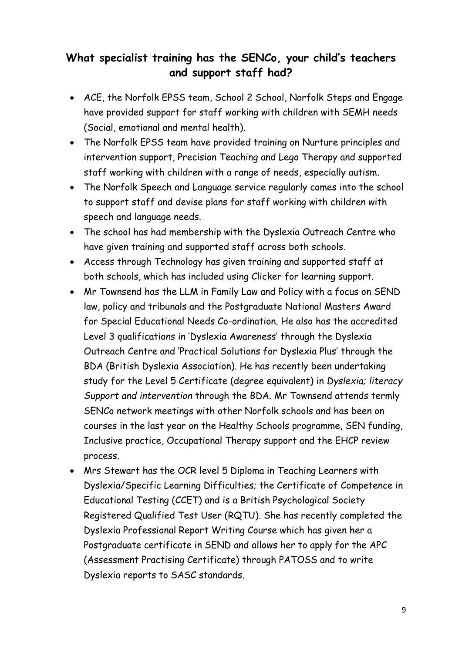# **What specialist training has the SENCo, your child's teachers and support staff had?**

- ACE, the Norfolk EPSS team, School 2 School, Norfolk Steps and Engage have provided support for staff working with children with SEMH needs (Social, emotional and mental health).
- The Norfolk EPSS team have provided training on Nurture principles and intervention support, Precision Teaching and Lego Therapy and supported staff working with children with a range of needs, especially autism.
- The Norfolk Speech and Language service regularly comes into the school to support staff and devise plans for staff working with children with speech and language needs.
- The school has had membership with the Dyslexia Outreach Centre who have given training and supported staff across both schools.
- Access through Technology has given training and supported staff at both schools, which has included using Clicker for learning support.
- Mr Townsend has the LLM in Family Law and Policy with a focus on SEND law, policy and tribunals and the Postgraduate National Masters Award for Special Educational Needs Co-ordination. He also has the accredited Level 3 qualifications in 'Dyslexia Awareness' through the Dyslexia Outreach Centre and 'Practical Solutions for Dyslexia Plus' through the BDA (British Dyslexia Association). He has recently been undertaking study for the Level 5 Certificate (degree equivalent) in *Dyslexia; literacy Support and intervention* through the BDA. Mr Townsend attends termly SENCo network meetings with other Norfolk schools and has been on courses in the last year on the Healthy Schools programme, SEN funding, Inclusive practice, Occupational Therapy support and the EHCP review process.
- Mrs Stewart has the OCR level 5 Diploma in Teaching Learners with Dyslexia/Specific Learning Difficulties; the Certificate of Competence in Educational Testing (CCET) and is a British Psychological Society Registered Qualified Test User (RQTU). She has recently completed the Dyslexia Professional Report Writing Course which has given her a Postgraduate certificate in SEND and allows her to apply for the APC (Assessment Practising Certificate) through PATOSS and to write Dyslexia reports to SASC standards.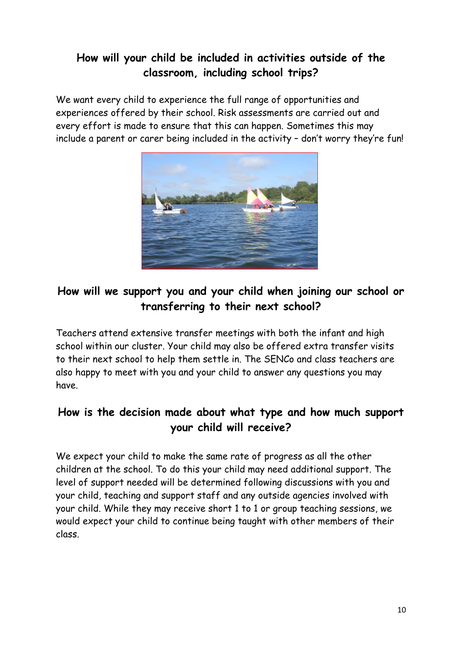### **How will your child be included in activities outside of the classroom, including school trips?**

We want every child to experience the full range of opportunities and experiences offered by their school. Risk assessments are carried out and every effort is made to ensure that this can happen. Sometimes this may include a parent or carer being included in the activity – don't worry they're fun!



# **How will we support you and your child when joining our school or transferring to their next school?**

Teachers attend extensive transfer meetings with both the infant and high school within our cluster. Your child may also be offered extra transfer visits to their next school to help them settle in. The SENCo and class teachers are also happy to meet with you and your child to answer any questions you may have.

# **How is the decision made about what type and how much support your child will receive?**

We expect your child to make the same rate of progress as all the other children at the school. To do this your child may need additional support. The level of support needed will be determined following discussions with you and your child, teaching and support staff and any outside agencies involved with your child. While they may receive short 1 to 1 or group teaching sessions, we would expect your child to continue being taught with other members of their class.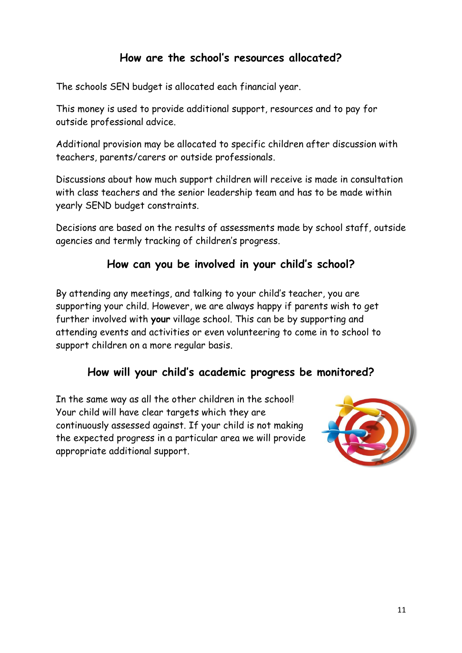#### **How are the school's resources allocated?**

The schools SEN budget is allocated each financial year.

This money is used to provide additional support, resources and to pay for outside professional advice.

Additional provision may be allocated to specific children after discussion with teachers, parents/carers or outside professionals.

Discussions about how much support children will receive is made in consultation with class teachers and the senior leadership team and has to be made within yearly SEND budget constraints.

Decisions are based on the results of assessments made by school staff, outside agencies and termly tracking of children's progress.

### **How can you be involved in your child's school?**

By attending any meetings, and talking to your child's teacher, you are supporting your child. However, we are always happy if parents wish to get further involved with **your** village school. This can be by supporting and attending events and activities or even volunteering to come in to school to support children on a more regular basis.

### **How will your child's academic progress be monitored?**

In the same way as all the other children in the school! Your child will have clear targets which they are continuously assessed against. If your child is not making the expected progress in a particular area we will provide appropriate additional support.

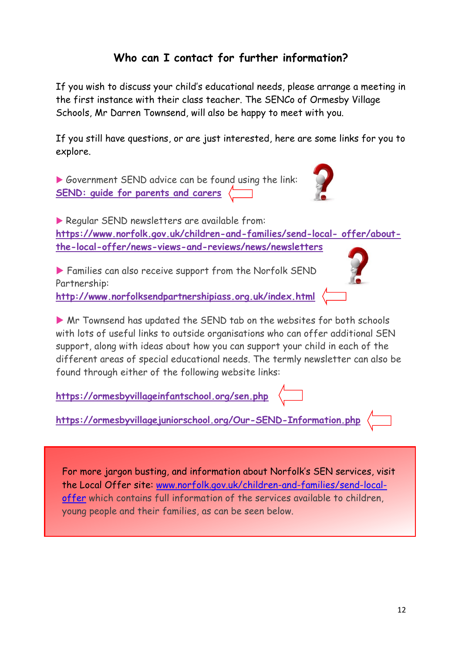# **Who can I contact for further information?**

If you wish to discuss your child's educational needs, please arrange a meeting in the first instance with their class teacher. The SENCo of Ormesby Village Schools, Mr Darren Townsend, will also be happy to meet with you.

If you still have questions, or are just interested, here are some links for you to explore.

Government SEND advice can be found using the link: **[SEND: guide for parents and carers](https://www.gov.uk/government/publications/send-guide-for-parents-and-carers)**

Regular SEND newsletters are available from: **https://www.norfolk.gov.uk/children-and-families/send-local- offer/aboutthe-local-offer/news-views-and-reviews/news/newsletters** 

 Families can also receive support from the Norfolk SEND Partnership:

**http://www.norfolksendpartnershipiass.org.uk/index.html**

 Mr Townsend has updated the SEND tab on the websites for both schools with lots of useful links to outside organisations who can offer additional SEN support, along with ideas about how you can support your child in each of the different areas of special educational needs. The termly newsletter can also be found through either of the following website links:

**https://ormesbyvillageinfantschool.org/sen.php**

**https://ormesbyvillagejuniorschool.org/Our-SEND-Information.php**

For more jargon busting, and information about Norfolk's SEN services, visit the Local Offer site: [www.norfolk.gov.uk/children-and-families/send-local](http://www.norfolk.gov.uk/children-and-families/send-local-offer)[offer](http://www.norfolk.gov.uk/children-and-families/send-local-offer) which contains full information of the services available to children, young people and their families, as can be seen below.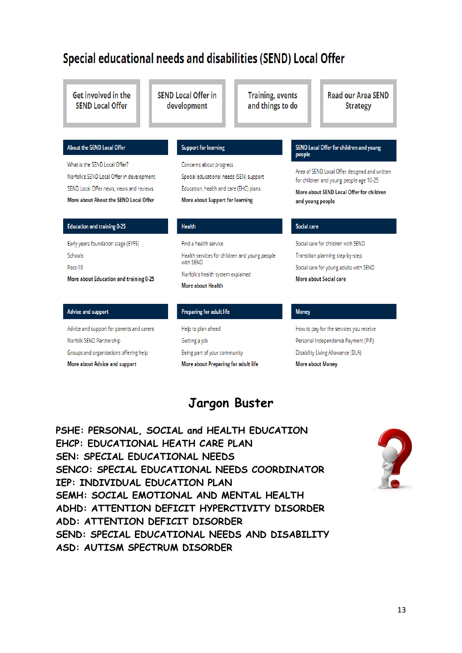# Special educational needs and disabilities (SEND) Local Offer

| <b>Get involved in the</b><br><b>SEND Local Offer</b>                                                                                                           | <b>SEND Local Offer in</b><br><b>Training, events</b><br>and things to do<br>development                                                        | <b>Read our Area SEND</b><br><b>Strategy</b>                                                                                                             |
|-----------------------------------------------------------------------------------------------------------------------------------------------------------------|-------------------------------------------------------------------------------------------------------------------------------------------------|----------------------------------------------------------------------------------------------------------------------------------------------------------|
| <b>About the SEND Local Offer</b>                                                                                                                               | <b>Support for learning</b>                                                                                                                     | SEND Local Offer for children and young<br>people                                                                                                        |
| What is the SEND Local Offer?<br>Norfolk's SEND Local Offer in development<br>SEND Local Offer news, views and reviews<br>More about About the SEND Local Offer | Concerns about progress<br>Special educational needs (SEN) support<br>Education, health and care (EHC) plans<br>More about Support for learning | Area of SEND Local Offer designed and written<br>for children and young people age 10-25<br>More about SEND Local Offer for children<br>and young people |
| <b>Education and training 0-25</b>                                                                                                                              | <b>Health</b>                                                                                                                                   | <b>Social care</b>                                                                                                                                       |
| Early years foundation stage (EYFS)<br>Schools<br>Post-16<br>More about Education and training 0-25                                                             | Find a health service<br>Health services for children and young people<br>with SEND<br>Norfolk's health system explained<br>More about Health   | Social care for children with SEND<br>Transition planning step-by-step<br>Social care for young adults with SEND<br>More about Social care               |
| <b>Advice and support</b>                                                                                                                                       | <b>Preparing for adult life</b>                                                                                                                 | <b>Money</b>                                                                                                                                             |
| Advice and support for parents and carers                                                                                                                       | Help to plan ahead                                                                                                                              | How to pay for the services you receive                                                                                                                  |

### **Jargon Buster**

**More about Money** 

More about Preparing for adult life

**PSHE: PERSONAL, SOCIAL and HEALTH EDUCATION EHCP: EDUCATIONAL HEATH CARE PLAN SEN: SPECIAL EDUCATIONAL NEEDS SENCO: SPECIAL EDUCATIONAL NEEDS COORDINATOR IEP: INDIVIDUAL EDUCATION PLAN SEMH: SOCIAL EMOTIONAL AND MENTAL HEALTH ADHD: ATTENTION DEFICIT HYPERCTIVITY DISORDER ADD: ATTENTION DEFICIT DISORDER SEND: SPECIAL EDUCATIONAL NEEDS AND DISABILITY ASD: AUTISM SPECTRUM DISORDER**

More about Advice and support

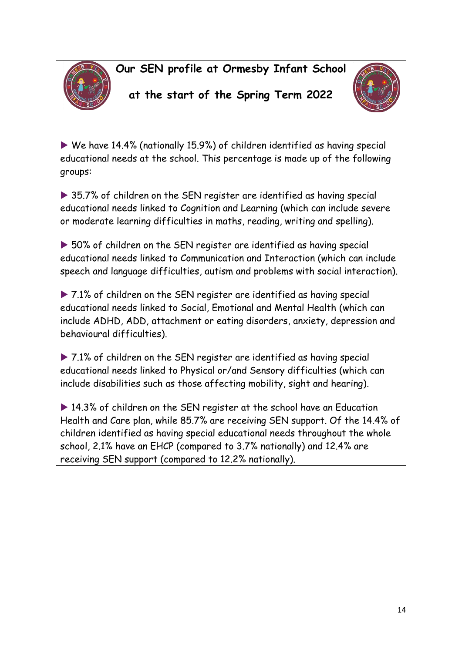**Our SEN profile at Ormesby Infant School**



# **at the start of the Spring Term 2022**



 We have 14.4% (nationally 15.9%) of children identified as having special educational needs at the school. This percentage is made up of the following groups:

▶ 35.7% of children on the SEN register are identified as having special educational needs linked to Cognition and Learning (which can include severe or moderate learning difficulties in maths, reading, writing and spelling).

▶ 50% of children on the SEN register are identified as having special educational needs linked to Communication and Interaction (which can include speech and language difficulties, autism and problems with social interaction).

▶ 7.1% of children on the SEN register are identified as having special educational needs linked to Social, Emotional and Mental Health (which can include ADHD, ADD, attachment or eating disorders, anxiety, depression and behavioural difficulties).

▶ 7.1% of children on the SEN register are identified as having special educational needs linked to Physical or/and Sensory difficulties (which can include disabilities such as those affecting mobility, sight and hearing).

▶ 14.3% of children on the SEN register at the school have an Education Health and Care plan, while 85.7% are receiving SEN support. Of the 14.4% of children identified as having special educational needs throughout the whole school, 2.1% have an EHCP (compared to 3.7% nationally) and 12.4% are receiving SEN support (compared to 12.2% nationally).